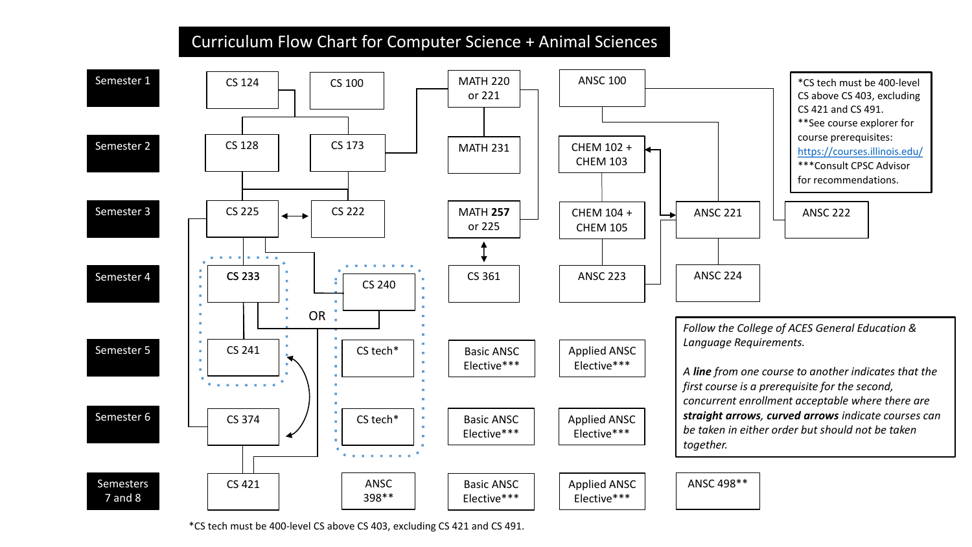## Curriculum Flow Chart for Computer Science + Animal Sciences



\*CS tech must be 400-level CS above CS 403, excluding CS 421 and CS 491.